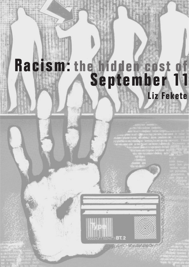# **Liz Fekete Racism: the hidden cost of September 11**

**BT.2**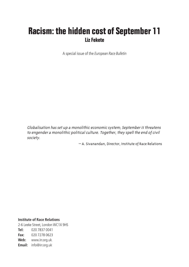## **Racism: the hidden cost of September 11 Liz Fekete**

A special issue of the *European Race Bulletin*

Globalisation has set up a monolithic economic system; September <sup>11</sup> threatens to engender a monolithic political culture. Together, they spell the end of civil society.

– A. Sivanandan, Director, Institute of Race Relations

**Institute of Race Relations** 2-6 Leeke Street, London WC1X 9HS **Tel:** 020 7837 0041 **Fax:** 020 7278 0623 **Web:** www.irr.org.uk **Email:** info@irr.org.uk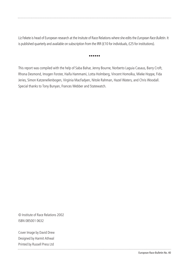Liz Fekete is head of European research at the Insitute of Race Relations where she edits the *European Race Bulletin*. It is published quarterly and available on subscription from the IRR (£10 for individuals, £25 for institutions).

#### ••••••

This report was compiled with the help of Saba Bahar, Jenny Bourne, Norberto Laguia Casaus, Barry Croft, Rhona Desmond, Imogen Forster, Haifa Hammami, Lotta Holmberg, Vincent Homolka, Mieke Hoppe, Fida Jeries, Simon Katzenellenbogen, Virginia MacFadyen, Nitole Rahman, Hazel Waters, and Chris Woodall. Special thanks to Tony Bunyan, Frances Webber and Statewatch.

© Institute of Race Relations 2002 ISBN 085001 0632

Cover Image by David Drew Designed by Harmit Athwal Printed by Russell Press Ltd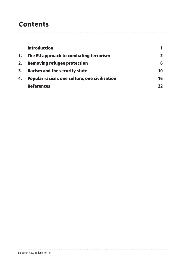### **Contents**

|    | <b>Introduction</b>                           |    |
|----|-----------------------------------------------|----|
| 1. | The EU approach to combating terrorism        |    |
| 2. | <b>Removing refugee protection</b>            | 6  |
| 3. | <b>Racism and the security state</b>          | 10 |
| 4. | Popular racism: one culture, one civilisation | 16 |
|    | <b>References</b>                             | 22 |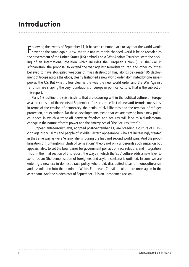### **Introduction**

Following the events of September 11, it became commonplace to say that the world would<br>never be the same again. Now, the true nature of this changed world is being revealed as  $\blacksquare$ ollowing the events of September 11, it became commonplace to say that the world would the government of the United States (US) embarks on a 'War Against Terrorism' with the backing of an international coalition which includes the European Union (EU). The war in Afghanistan, the proposal to extend the war against terrorism to Iraq and other countries believed to have stockpiled weapons of mass destruction has, alongside greater US deployment of troops across the globe, clearly fashioned a new world order, dominated by one superpower, the US. But what is less clear is the way the new world order and the War Against Terrorism are shaping the very foundations of European political culture. That is the subject of this report.

Parts 1-3 outline the seismic shifts that are occurring within the political culture of Europe as a direct result of the events of September 11. Here, the effect of new anti-terrorist measures, in terms of the erosion of democracy, the denial of civil liberties and the removal of refugee protection, are examined. Do these developments mean that we are moving into a new political epoch in which a trade-off between freedom and security will lead to a fundamental change in the nature of state power and the emergence of 'The Security State'?

European anti-terrorist laws, adopted post-September 11, are breeding a culture of suspicion against Muslims and people of Middle-Eastern appearance, who are increasingly treated in the same way as were 'enemy aliens' during the first and second world wars. And the popularisation of Huntington's 'clash of civilisations' theory not only undergirds such suspicion but appears, also, to set the boundaries for government policies on race relations and integration. Thus, in the final section of this report, the ways in which the 'sus' culture adds a new layer to xeno-racism (the demonisation of foreigners and asylum seekers) is outlined. In sum, we are entering a new era in domestic race policy, where old, discredited ideas of monoculturalism and assimilation into the dominant White, European, Christian culture are once again in the ascendant. And the hidden cost of September 11 is an unashamed racism.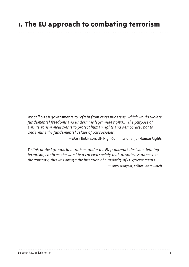### **1. The EU approach to combating terrorism**

We call on all governments to refrain from excessive steps, which would violate fundamental freedoms and undermine legitimate rights… The purpose of anti-terrorism measures is to protect human rights and democracy, not to undermine the fundamental values of our societies.

– Mary Robinson, UN High Commissioner for Human Rights

To link protest groups to terrorism, under the EU framework decision defining terrorism, confirms the worst fears of civil society that, despite assurances, to the contrary, this was always the intention of a majority of EU governments.

– Tony Bunyan, editor Statewatch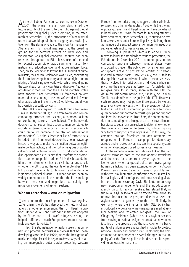At the UK Labour Party annual conference in October<br>2001, the prime minister, Tony Blair, linked the future security of the world to the fight against global poverty and for global justice, promising, in the aftermath of September 11, the introduction of a new world order that would uphold human dignity and social justice 'from the slums of Gaza to the mountain ranges of Afghanistan'. His implicit message that the breeding ground for the terrorist attacks on New York and Washington was global economic inequity, has been repeated throughout the EU. It has spoken of the need for reconstruction, diplomacy, disarmament, aid, information and education over and above military force. Then, on 15 December, following the EU summit of prime ministers, the Laeken Declaration was issued, committing the EU to furthering democracy and human rights and to playing a 'stabilising role worldwide' which would 'point the way ahead for many countries and people'. Yet, every anti-terrorist measure that the EU and member states have enacted since September 11 forecloses on any nuanced understanding of the roots of terrorism in favour of an approach in line with the US world view and driven by overriding security concerns.

The EU Council agreed to rush through two measures in December 2001; first a framework decision on combating terrorism, and, second, a common position on combating terrorism (see below). The framework decision comprises an instruction to member states to include as terrorist offences a number of acts which could 'seriously damage a country or international organisation'. But the subsequent list of terrorist acts included in the framework decision has been drawn up in such a way as to make no distinction between legitimate political activity and the sort of religious or politically-inspired violence which is so indiscriminate or disproportionate as to its aim that it forfeits the protection accorded to 'political crime'. <sup>1</sup> It is this broad definition of terrorism which has led civil libertarians to ask whether the EU is using the events of September 11 to link protest movements to terrorism and undermine legitimate political dissent. But what has not been so widely commented on is the link that the EU is making between terrorism and migration, particularly the migratory movements of asylum seekers.

#### **War on terrorism = war on migration**

E ven prior to the post-September 11 'War Against<br>
Terrorism' the EU had deployed the rhetoric of war Terrorism' the EU had deployed the rhetoric of war against another phenomenon, that of 'illegal migration'. Under various anti-trafficking initiatives adopted by the EU as part of this 'war', refugees seeking the help of traffickers to reach Europe were treated as criminals and even terrorists. 2

In fact, this stigmatisation of asylum seekers as criminals and potential terrorists is a process that has been developing since the late 1970s, when the Trevi group of ministers and police chiefs began to devise ways of creating an impregnable outer border protecting western

Europe from 'terrorists, drug smugglers, other criminals, refugees and other undesirables'.  $\frac{3}{3}$  But while the themes of policing, security and illegal migration have gone hand in hand since the 1970s, far more far-reaching attempts have been made, since September 11, to criminalise asylum seekers who enter Europe illegally by defining them as members of a suspect terrorist community in need of a separate system of surveillance and control.

Following US pressure, $4$  which also led to EU wide moves to lower the standards of refugee protection, the EU adopted in December 2001 a common position on combating terrorism whereby member states were instructed to prevent the public from offering 'any form of support, active or passive' to 'entities or persons involved in terrorist acts'. Here, crucially, the EU fails to distinguish between individuals who consciously assist those involved in terrorist acts and individuals who simply share the same goals as 'terrorists'. Kurdish-Turkish refugees may, for instance, share with the PKK the desire for self-determination and, similarly, Sri Lankan Tamils may identify with the goals of the LTTE. However, such refugees may not pursue these goals by violent means or knowingly assist with the preparation of violent acts. But the EU's common position fails to distinguish between support for 'terrorist' groups and support for liberation movements. From here, the common position on combating terrorism goes on to instruct all member states to vet all asylum seekers to determine whether they have any connection to terrorism, including giving 'any form of support, active or passive'.5 In this way, the common position forecloses on any attempts by refugees within Europe to campaign for democracy abroad and encloses asylum seekers in a special system of national-security-inspired surveillance measures.

At the same time, member states are linking the war against terrorism both to the war against trafficking and the need for a deterrent asylum system. In the Netherlands, where a special police unit investigating human trafficking has been extended under the Action Plan on Terrorism and Security to research possible links with terrorism, biometric identification measures will be increasingly used for refugees and those seeking visas. In the UK, home secretary David Blunkett, announcing new reception arrangements and the introduction of identity cards for asylum seekers, has stated that, in future, all asylum seekers will be tracked from arrival to removal because, in the past, terrorists have used the asylum system to gain entry to the UK. Similarly, in Germany, where the interior minister Otto Schily has introduced a wide range of new measures aimed at asylum seekers and 'tolerated refugees', the Law of Obligatory Residence (which restricts asylum seekers from moving outside a designated area) has now been justified on the grounds that 'the restriction of the basic rights of asylum seekers is justified in order to protect national security and public order.' In Norway, the government has recommended several changes in asylum policy after the Tromso police chief described it as providing an 'oasis for terrorists'.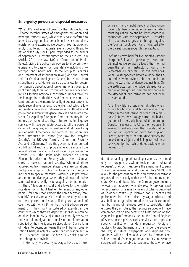#### **Emergency powers and special measures**

The EU's lead was followed by the introduction in<br>Some member states of emergency legislation and The EU's lead was followed by the introduction in new anti-terrorist laws, while others have preferred to amend existing public order, criminal justice and aliens legislation and extend police powers. Both approaches imply that foreign nationals are a specific threat to national security. Thus, Spain responded to the events of September 11 by strengthening the Corcuera Law (Article 20 of the law 1/02 on Protection of Public Safety), giving the police new powers to fingerprint foreigners and to pass on personal data – including photographs and fingerprints – to the Group for Analysis and Treatment of Information (GATI) and the Central Unit for Criminal Intelligence. Greece, for its part, is to strengthen the residence law so as to allow for detention pending deportation of foreign nationals deemed a public security threat and to strip of their residence permits all foreign nationals, considered 'undesirable' by the immigration authorities. And Denmark, as part of its contribution to the international fight against terrorism, made several amendments to the aliens act which allow for greater cooperation between asylum authorities and police and military intelligence services and enlarge the scope for expelling foreigners from the country in the interests of national security. In future, the intelligence services will have complete access to all the personal details of foreigners, asylum seekers and refugees living in Denmark. Emergency anti-terrorist legislation has been introduced in France (the Law for Everyday Security), the UK (Anti-Terrorism Crime and Security Act) and in Germany. There the government announced a 3 billion DM anti-terror programme and almost all the federal states have introduced security packages. In October 2001, the Netherlands launched an Action Plan on Terrorism and Security which listed 43 measures to increase national security. Within all these approaches from member states there are variations. But by removing civil rights from foreigners and subjecting them to special measures within a less protective and more punitive legal system they all institutionalise xeno-racism and justify hysteria against non-nationals.

The UK favours a model that allows for the indefinite detention without trial – internment by any other name – for non-Britons whom the home secretary 'reasonably' believes are a risk to national security but cannot be deported (for instance, if they are nationals of countries with which Britain has no extradition agreement, or if they might be tortured or executed in the country to which they are deported). Individuals can be detained indefinitely (subject to a six-monthly review by the special immigration commission on information supplied by the intelligence services alone). Such a form of indefinite detention, warns the civil liberties organisation Liberty, is actually worse than imprisonment, in that it is carried out on the basis of suspicion rather than charge or conviction.

In Germany two security packages have been intro-

While in the UK eight people of Arab origin have so far been interned under new anti-terrorist legislation, no one has been charged in connection with the September 11 attacks. Nor have any charges been brought against the Algerian pilot, Lotfi Raissi, arrested after the US authorities sought his extradition.

Lotfi Raissi was held for five months without charge in Belmarsh top security prison after US intelligence services alleged that he had been the key flight instructor of four of the September 11 hijackers. On five occasions, when Raissi appeared before a judge, the US authorities were invited  $-$  but declined  $-$  to bring forward the evidence against him. On the sixth occasion, the judge released Raissi on bail on the grounds that the link between the defendant and terrorism had not been substantiated.

An unlikely Islamic fundamentalist (his wife is a French Christian and his uncle was chief officer in the anti-terrorism branch of Algiers police), Raissi was dragged from his bed at gunpoint in the early hours of the morning. Despite his release, the US authorities are still seeking his extradition on the grounds that he lied on an application form for a pilot's licence, omitting to declare knee surgery for an old tennis injury and failing to declare a conviction for theft which dates back to when he was 17. 6

duced containing a plethora of special measures aimed only at foreigners, asylum seekers and 'tolerated refugees'. One such measure is the amendment to para 129 of the German criminal code. In future S129b will allow for the prosecution of foreign criminal or terrorist organisations, not only within the EU but in any otherstate. Over and above this, the German government is following an approach whereby security services trawl for information on aliens by means of what is described as 'dragnet control' (a blanket non-suspect-related police operation characterised by vague criteria) and also build up targeted information on Islamic communities by means of religious profiling. Legislation also ensures that, in future, the security services will have comprehensive on-line access to all information on foreigners living in Germany stored on the Central Register of Aliens (in the past, security services had to provide specific justification for data requests). Foreigners applying to visit Germany also fall under the scope of the act; in future, fingerprints and digitised photographs will be taken and stored by German consulates abroad. As immigration authorities and security services will also be able to scrutinise those who have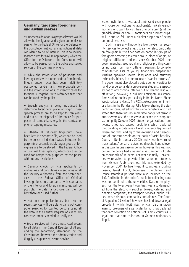#### **Germany: targeting foreigners and asylum seekers**

• Under consideration is a proposal which would allow the immigration and asylum authorities to pass on to the Federal Office for the Defence of the Constitution without any restrictions all data considered to be of interest. This is to include reasons given for asylum applications, which the Office for the Defence of the Constitution will allow to be passed on to the police and secret services of the countries of origin.

• While the introduction of passports and identity cards with biometric data from hands, fingers and/or faces has been indefinitely postponed for Germans, new proposals permit the introduction of such identity cards for foreigners, together with reference files that can be used by the police.

• Speech analysis is being introduced to determine foreigners' place of origin. These speech profiles are to be kept for ten years and put at the disposal of the police for purposes of comparison, e.g. in the context of phone- tapping measures.

• Hitherto, all refugees' fingerprints have been kept in a separate file, which can be used by the police in individual cases. In future, fingerprints of a considerably larger group of foreigners are to be stored in the Federal Office of Criminal Investigations, which can then be used for comparison purposes by the police without any restrictions.

• Security checks on visa applicants by embassies and consulates via enquiries of all the security authorities, from the secret services to the Federal Office of Criminal Investigations, in accordance with standards of the interior and foreign ministries, will be possible. The data handed over can then be kept there and used further.

• Not only the police forces, but also the secret services will be able to carry out computer searches for wanted persons using all the data in the Central Register of Aliens. No concrete threat is needed to justify this.

• Secret services will have unrestricted access to all data in the Central Register of Aliens, ending the separation, demanded by the Constitution, between the administration and (largely unsupervised) secret services. 7

issued invitations to visa applicants (and even people with close connections to applicants), Turkish grandmothers who want to visit their grandchildren (and the grandchildren), or non-EU foreigners on business trips, will, in future, fall under a blanket suspicion of being potential terrorists.

Such measures will not only allow the German security services to collect a vast stream of electronic data on foreigners but to filter data on particular groups of foreigners according to ethnic group, place of origin, or religious affiliation. Indeed, since October 2001, the government has used racial and religious profiling combining data from many different agencies to compile computerised lists of young, financially-independent Muslims speaking several languages and studying technical subjects, in order to locate 'Islamist terrorists'. The government also placed a duty upon universities to hand over personal data on overseas students, suspected not of any criminal offence but of 'Islamic religious affiliation'; however, it did not anticipate resistance from student bodies, particularly in Berlin, North-Rhine Westphalia and Hesse. The PDS spokesperson on interior affairs in the Bundestag, Ulla Jelpke, sharing the students' concern, asked why the same ministers who had stated that there was no immediate danger of terrorist attacks were also the ones who launched the computer scanning. By October 2001, student organisations from twenty cities had passed resolutions which declared that creating a database of Arab students legitimised racism and was leading to the exclusion and persecution of innocent people on the basis of racial hostility. Courts in Berlin (January 2002) and Hesse have ruled that students' personal data should not be handed over in this way. In one case in Berlin, however, this was not before the police had amassed a vast amount of data on thousands of students. For while initially, universities were asked to provide information on students from sixteen Arab countries, this was extended by November 2001 to twenty-eight countries, including Bosnia, Israel, Egypt, Indonesia, Bangladesh and France (stateless persons were also included on the list). And in Berlin, the police's mania for collecting data was not confined to the universities. Data on employees from the twenty-eight countries was also demanded from the electricity supplier Bewag, catering and cleaning companies, the transport services, public utilities, waste disposal companies and airlines. The Court of Appeal in Düsseldorf, however, has laid down a legal precedent which legitimises official discrimination against foreigners of a particular faith. It has declared that data collection on nationals of Islamic countries is legal, but that data collection on German nationals is illegal.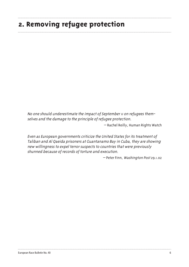## **2. Removing refugee protection**

No one should underestimate the impact of September 11 on refugees themselves and the damage to the principle of refugee protection.

– Rachel Reilly, Human Rights Watch

Even as European governments criticize the United States for its treatment of Taliban and Al Qaeida prisoners at Guantanamo Bay in Cuba, they are showing new willingness to expel terror suspects to countries that were previously shunned because of records of torture and execution.

– Peter Finn, Washington Post 29.1.02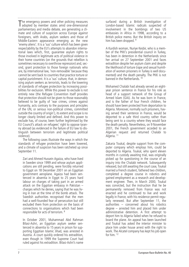The emergency powers and other policing measures<br>adopted by member states amid one-dimensional he emergency powers and other policing measures parliamentary and media debate, are generating a climate and culture of suspicion across Europe against foreigners, with Arabs, asylum seekers and those of Middle-Eastern appearance emerging as the new 'enemy aliens'. It is a 'sus' culture which has been given respectability by the EU's attempts to abandon international laws which, first, guarantee asylum rights to those involved in legitimate acts of political violence in their home countries (on the grounds that rebellion is sometimes necessary to overthrow repression) and, second, grant protection to those foreign nationals who are, by international law, 'non-removable' because they cannot be sent back to countries that practice torture or capital punishment. It is a 'sus' culture, that, in demonising asylum seekers as terrorists, leads to the lowering of standards of refugee protection by increasing possibilities for exclusion. While this power to exclude is not entirely new (the Refugee Convention itself provides that protection should not be given to those reasonably believed to be guilty of 'war crimes, crimes against humanity, acts contrary to the purposes and principles of the UN, or serious non-political crimes, committed outside the country of origin'), its extent and scope is no longer clearly limited and defined. And this power to exclude has, of course, been further legitimised by the EU Council's attack on refugees' right to oppose tyranny abroad (as evidenced in the failure of EU law to distinguish between terrorism and legitimate political violence).

The following cases illustrate the ways in which the standards of refugee protection have been lowered, and a climate of suspicion has been ratcheted up since September 11.

Zari and Ahmed Hussein Agaiza, who have lived in Sweden since 1999 and whose asylum applications are still pending, were forcibly returned to Egypt on 18 December 2001 on an Egyptian government aeroplane. Agaiza had been sentenced in absentia in Egypt to 25 years hard labour on charges of taking part in an armed attack on the Egyptian embassy in Pakistan – charges which he denies, saying that he was living in Iran at the time of the bomb attack. The Swedish authorities recognised that the men had a well-founded fear of persecution but still excluded them from protection on the basis of connections to organisations which had been responsible for acts of terrorism. 8

In October 2001, Muhammad Abd Rahman Bilasi-Ashri, an Egyptian asylum seeker sentenced in absentia to 15 years in prison for supporting Egyptian Islamic Jihad, was arrested in Austria. A court quickly ordered his extradition, even though in 1999 the Supreme Court had ruled against his extradition. Bilasi-Ashri's name

surfaced during a British investigation of London-based Islamic radicals suspected of involvement in the bombings of two US embassies in Africa in 1998, according to a British police memo. But the British inquiry on him has been dropped.<sup>9</sup>

A Kurdish woman, Nuriye Kesbir, who is a member of the PKK's presidential council in Turkey, has been in detention in the Netherlands since her arrival on 27 September 2001 and faces extradition despite her asylum claim and despite the likelihood of torture (rape and sexual humiliation of women prisoners in Turkey is well documented) and the death penalty. The PKK is not banned in the Netherlands.<sup>10</sup>

Mohamed Chalabi had already served an eightyear prison sentence in France for his role as head of a support network of the Group of Armed Islam (GIA). As he was born in France, and is the father of four French children, he should have been protected from deportation to Algeria. Moreover, normally such prisoners, having served their sentence in France, would be deported to a safe third country rather than being sent to a country where they would face the death penalty. Nevertheless, on 9 November 2001, the French government acceded to an Algerian request and returned Chalabi to Algeria. 11

Zakaria Toukal, despite support from the computer company which employs him, could be deported to Algeria. Toukal, who spent eleven months in custody awaiting trial, was originally picked up for questioning in the course of an inquiry into the Chalabi network. Subsequently released, but still awaiting the court case, Toukal married a French student, fathered two children, completed a degree course in robotics and gained employment as a research and development engineer. Then, in March 2000, Toukal was convicted, but the instruction that he be permanently removed from France was not enacted and he continued to live and work legally in France, with his residence permit regularly renewed. But after September 11, the authorities – concerned about his robotics degree – arrested him and placed him under administrative detention. A first attempt to deport him to Algeria failed when he refused to board the plane. An appeal has been launched and Toukal has asked the interior minister to place him under house arrest with the right to work. The Alcatel company has kept his job open for him. 12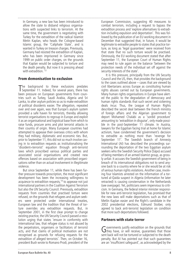In Germany, a new law has been introduced to allow the state to disband religious organisations with suspected links to terrorism. At the same time, the government is negotiating with Turkey for the extradition of the radical Islamist Metin Kaplan, who heads the Cologne-based Islamic group, the 'Caliphate State', and is wanted in Turkey on treason charges. Previously, Germany had resisted the extradition of Kaplan, who has been imprisoned in Germany since 1999 on public order charges, on the grounds that Kaplan would be subjected to torture and the death penalty. But now it is pressing ahead with extradition.<sup>13</sup>

#### **From demonisation to exclusion**

The background to these exclusions predates<br>September 11. Indeed, for several years, there has September 11. Indeed, for several years, there has been pressure on European governments from countries such as Turkey, Saudi Arabia, Algeria and Sri Lanka, to alter asylum policies so as to make extradition of political dissidents easier. The allegation, repeated over and over again, was that Europe's asylum system provided a safe haven for terrorists, thereby allowing terrorist organisations to regroup in Europe and exploit it as an organisational and logistical base from which to raise funds, procure arms and plot terrorist attacks in their country of origin. Many European countries had attempted to appease their overseas critics with whom they had military, diplomatic and economic ties. But, prior to September 11, this did not so much involve caving in to extradition requests as institutionalising the 'dissident=terrorist' equation through anti-terrorist laws which proscribed various political parties and associated social organisations and created new offences based on association with proscribed organisations rather than on actual involvement in illegitimate violence.

But since September 11, while there has been further pressure towards proscription, the most significant development has been the increasing willingness to acquiesce to extradition requests,<sup>14</sup> to appease not just international partners in the Coalition Against Terrorism but also the UN Security Council. Previously, extradition requests from countries that practised torture were refused, on the grounds that refugees and asylum seekers were protected under international treaties, European law and the tradition that the threat of torture overrides any extradition requests. But, in September 2001, in the first clear prompt to change existing practice, the UN Security Council passed a resolution urging that states 'ensure in conformity with international law, that refugee status is not abused by the perpetrators, organisers or facilitators of terrorist acts, and that claims of political motivation are not recognised as grounds for refusing requests for the extradition of alleged terrorists'. Then, on October 16, president Bush wrote to Romano Prodi, president of the

European Commission, suggesting 40 measures to combat terrorism, including a request to bypass the extradition process and 'explore alternatives to extradition including expulsion and deportation'. This was followed by the publication of an EU working document in December that suggested that, in future, it would be legitimate to extradite people to states that practice torture, as long as 'legal guarantees' were received from that state that no such torture would be practised. Ominously, the EU working document stated that after September 11, the European Court of Human Rights may need to rule again on the balance 'between the protection needs of the individual set off against the security interests of the state'.

It is this pressure, principally from the UN Security Council and the US, then, that provides the background to the cases outlined above – cases that are viewed by civil libertarians across Europe as constituting human rights abuses carried out by European governments. Many human rights organisations in Europe have alerted the public to the degradation of democracy and human rights standards that such secret and sickening deals incur. Thus, the League of Human Rights described the secret deal between the French ministry of foreign affairs and the Algerian government to deport Mohamed Chalabi as a 'sordid procedure' amounting to 'extradition in disguise', only made possible in the post-September 11 climate. In Austria, lawyers for the Egyptian facing trial at home for Islamic activism, have condemned the government's decision to extradite as nothing more than 'revenge for September 11'. The Swedish branch of Amnesty International (AI) has described the proceedings surrounding the deportation of the two Egyptian asylum seekers who the Swedish Security Police (Säpo) accused of being members of an armed Islamist group, as grossly unfair. It accuses the Swedish government of being in breach of its international obligations not to send anyone back to a country where he or she would be at risk of serious human rights violations. Another case, involving four Islamists arrested on the information of a tortured al-Qaida suspect in Algeria (information he later retracted) is causing consternation in the Netherlands (see overpage). Yet, politicians seem impervious to criticism. In Germany, the federal interior minister responsible for new anti-terrorist legislation, has promised that the new laws will make deportations such as that of Metlin Kaplan easier and the Right's candidate in the 2002 presidential elections, Edmund Stoiber, only agreed to back anti-terrorist legislation on condition that more such deportations followed.

#### **Partners with state terror**

Governments justify extradition on the grounds that those they have, or will receive, guarantees that those sent back will not be tortured or subjected to the death penalty. But AI has pointed out that such guarantees are an 'insufficient safeguard', as acknowledged by the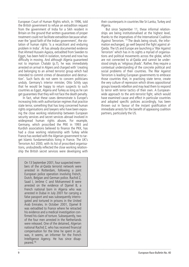European Court of Human Rights which, in 1996, told the British government to refuse an extradition request from the government of India for a Sikh resident in Britain on the ground that written guarantees of proper treatment could not facilitate extradition because whatever the 'good faith of the Indian government', the violation of human rights 'is a recalcitrant and enduring problem in India'. AI has already documented evidence that Ahmed Hussein Agaiza, extradited from Sweden to Egypt, has been held in isolation, tortured and now has difficulty in moving. And although Algeria guaranteed not to imprison Chalabi (p.7), he was immediately arrested on arrival in Algiers and charged with 'creating and belonging to an armed terrorist group which had intended to commit crimes of devastation and destruction'. Such facts do not seem to concern politicians unduly. Germany's interior minister, Otto Schily says that he would be happy to return suspects to such countries as Egypt, Algeria and Turkey as long as he can get guarantees that they will not face the death penalty.

In fact, what these cases demonstrate is Europe's increasing links with authoritarian regimes that practice state terror, something that has long concerned human rights organisations and lawyers who have been exposing the close working relationship between European security services and secret services abroad involved in widespread human rights abuses. For example, Germany, which proscribed the PKK in 1993 and Kurdish associations believed to finance the PKK, has had a close working relationship with Turkey while France has worked with the Algerian government to target Islamic fundamentalists living in France. The UK's Terrorism Act 2000, with its list of proscribed organisations, undoubtedly reflected the close working relationship the British secret services were developing with

On 13 September 2001, four suspected members of the al-Qaida terrorist network were arrested in Rotterdam, following a joint European police operation involving French, Dutch, Belgian and German police. Rachid Z, Saad I, Jerôme C and Mohammed B were arrested on the evidence of Djamel B, a French national born in Algeria who was arrested in Dubai in July 2001 for carrying a false passport and was subsequently interrogated and tortured in prisons in the United Arab Emirates. In October 2001, Djamel B was extradited to France where he retracted his evidence and a medical investigation confirmed his claim of torture. Subsequently, two of the four men arrested in the Netherlands were released. One of the detained, Algerian national Rachid Z, who has received financial compensation for the time he spent in jail, was, it seems, an informer for the French Intelligence Agency. He has since disappeared.16

their counterparts in countries like Sri Lanka, Turkey and Algeria.

But since September 11, these informal relationships are being institutionalised at the highest level, thanks to the imperatives of the International Coalition Against Terrorism. <sup>15</sup> The deals being struck, the information exchanged, go well beyond the fight against al-Qaida. The US and Europe are launching a 'War Against Terrorism' which has in its sights a myriad of organisations and political movements across the globe, which are not connected to al-Qaida and cannot be understood simply as 'religious jihads'. Rather, they require a contextual understanding of the concrete political and social problems of their countries. The War Against Terrorism is leading European governments to embrace those countries that, in practising state terror, create the very culture of repression which drives oppositional groups towards rebellion and may lead them to respond to terror with terror tactics of their own. A Europeanwide approach to the anti-terrorist fight, which would have examined cause and effect in particular countries and adopted specific policies accordingly, has been thrown out in favour of the instant gratification of immediate arrests for the benefit of appeasing coalition partners, particularly the US.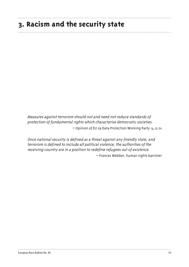### **3. Racism and the security state**

Measures against terrorism should not and need not reduce standards of protection of fundamental rights which characterise democratic societies. – Opinion of EU 29 Data Protection Working Party 14.12.01

Once national security is defined as a threat against any friendly state, and terrorism is defined to include all political violence, the authorities of the receiving country are in a position to redefine refugees out of existence.

– Frances Webber, human rights barrister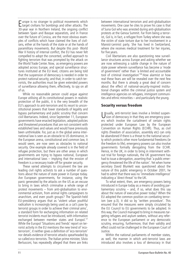Europe is no stranger to political movements which<br>target civilians for bombings and other attacks. The  $\Box$  urope is no stranger to political movements which 30-year war in Northern Ireland, the ongoing conflict between Spain and Basque separatists, and in France over the future of Corsica, are the most obvious examples of conflicts which have claimed the lives of civilians, either at the hands of the state or at the hands of paramilitary movements. But despite this post- World War II history of internal conflict, the EU has never felt compelled to adopt the concerted, unified approach to fighting terrorism that was prompted by the attack on the World Trade Center. Now, as emergency powers are adopted across Europe, and special surveillance structures instituted at the EU level, citizens are being told that the suspension of democracy is needed in order to protect national security; and that, in order to catch terrorists, the authorities must be given extended powers of surveillance allowing them, effectively, to spy on all of us.

While no reasonable person could argue against Europe utilising all its constitutional powers in realistic protection of the public, it is the very breadth of the EU's approach to anti-terrorism and its resort to unconstitutional powers that lower standards of legality and bypass parliamentary and public scrutiny that concern civil libertarians. Indeed, since September 11, European governments have enacted legislation, adopted policies and threatened procedures that are not consistent with established laws and values and would have previously been unthinkable. For, just as in the global arena international law is seen as an obstacle to US dominance, in the European arena, constitutional and common law, it would seem, are now seen as obstacles to national security. One example already covered is in the field of refugee protection, but there are other areas in which governments are trying to bypass national, European and international laws – implying that the erosion of freedom is a necessary trade-off for greater security.

These varied attempts to circumvent the law are leading civil rights activists to ask a number of questions about the nature of state power in Europe today. Are European governments, for instance, using the panic generated by the attacks on the US as an excuse to bring in laws which criminalise a whole range of protest movements – from anti-globalisation to environmental activism, from animal rights campaigners to anarchism, and even youth groups? The Spanish-held EU-presidency argues that as 'violent urban youthful radicalism is increasingly being used as a cat's paw by terrorist groups in order to achieve their criminal aims', a standard form for exchanging information on related terrorist incidents must be introduced, with information exchanged between member states and Europol.<sup>17</sup> While the Europol 'Situations and Trends' report on terrorist activity in the EU mentions the new trend of 'ecoterrorism', it neither gives a definition of 'eco-terrorism' nor details evidence of terrorist attacks spearheaded by so-called eco-terrorists. The Italian prime minister, Silvio Berlusconi, has repeatedly alleged that there are links

between international terrorism and anti-globalisation movements. One case he cites to prove his case is that of Suna Gol who was arrested during anti-globalisation protests at the Genoa Summit. Far from being a terrorist, Gol is, in fact, a refugee from Turkey where she was the victim of state torture due to her involvement in a Marxist-Leninist party. She has lived in Switzerland, where she receives medical treatment for her injuries, for five years.

Civil libertarians are also questioning new surveillance structures across Europe and asking whether we are now witnessing a subtle change in the nature of state power wherein surveillance has become a 'mode of government' rather than 'a limited and accountable tool of criminal investigation'18 How alarmist or how real these fears are will be revealed over the next few months. But there is already a great deal of concern about the effect of national-security-inspired institutional changes within the criminal justice system and intelligence agencies on refugees, immigrant communities and ethnic minorities – and particularly the young.

#### **Security versus freedom**

Usually, anti-terrorist laws involve a limited suspen-**J** sion of democracy in that they are emergency powers which involve the curtailment of certain rights protected under European Law by the European Convention on Human Rights (ECHR). Thus, as civil rights (freedom of association, assembly etc) can only be abandoned if there is a threat to the national security which protects other more fundamental freedoms (ie the freedom to life), emergency powers can also involve governments formally derogating from the ECHR. Hence, in the UK, in order to bring in internment without trial for foreign nationals, the UK government has had to issue a derogation, asserting that 'a public emergency threatened the life of the nation'. Yet when home secretary David Blunkett was questioned about the nature of this public emergency in October 2001, he had to admit that there was no 'immediate intelligence' indicating a 'direct threat' to the UK.

To what extent, then, are emergency powers being introduced in Europe today as a means of avoiding parliamentary scrutiny  $-$  and, if so, what does this say about the nature of executive power today? When the EU adopted the common position on combating terrorism (see p.3), it did so by 'written procedure'. This ensured that the measures were simply circulated by the EU Council to EU governments to be adopted. In this way, the Council managed to bring in measures targeting refugees and asylum seekers, without any reference to the European parliament or any democratic scrutiny, ensuring, furthermore, that their validity and effect could not be challenged in the European Court of Justice.

Within the national parliaments of member states, as well, the manner in which anti-terrorist laws are introduced also involves a loss of democracy in that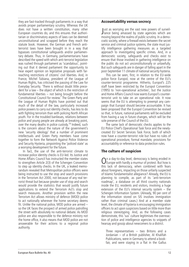they are fast-tracked through parliaments in a way that avoids proper parliamentary scrutiny. Whereas the UK does not have a written constitution, many other European countries do, and this ensures that authoritarian or discriminatory aspects of laws can be deemed unconstitutional and scrapped before they reach the statute book. However, the German and French antiterrorist laws have been brought in in a way that bypasses constitutional safeguards and/or parliamentary debate. Thus, in Germany, parliamentarians have described the speed with which anti-terrorist legislation was rushed through parliament as 'scandalous', pointing out that it denied parliament the opportunity to hear expert opinion on legislative proposals with farreaching restrictions of citizens' civil liberties. And, in France, Michel Tubiana, president of the League of Human Rights, has criticised the passing of the Law for Everyday Security. 'There is without doubt little precedent for a law – the object of which is the restriction of fundamental liberties – not being brought before the Constitutional Council for review.' The Green Party and the League of Human Rights have pointed out that much of the detail of the law, particularly increased police powers to carry out identity checks, has less to do with fighting terrorism than with policing North African youth. For in the troubled banlieues, relations between police and young people are already at breaking point, over the many deaths in police custody.19 Indeed, such is the concern about the nature of the government's new 'security ideology' that a number of prominent intellectuals and Green Party members have come together to form the Network Against Police Violence and Security Hysteria, pinpointing the 'policed state' as a worrying development for the future.

In fact, the use of the anti-terrorist climate to increase police identity checks is EU-led. Its Justice and Home Affairs Council has instructed the member states to strengthen Article 2(3) of the Schengen Convention to step up identity checks. In the UK, a leaked memorandum revealed that Metropolitan police officers were being instructed to use the stop and search provisions in the Terrorism Act 2000, not because of any real terrorist threat but because greater use of stop and search would provide the statistics that would justify future applications to extend the Terrorism Act's stop and search measures. Another provision within the new Terrorism Act allows ministry of defence (MOD) police to act nationally wherever the home secretary deems fit. Unlike the national police, MOD police are armed – so the UK faces the prospect of armed police patrolling the street with absolutely no national debate. As MOD police are also responsible to the defence ministry not the home office, it also means that MOD police are not answerable for their actions to a regional police authority.

#### **Accountability versus secrecy**

Just as worrying are the vast new powers of surveil-<br>Jiance being amassed by state agencies which are ust as worrying are the vast new powers of surveilmoving beyond the realms of public scrutiny. In a democratic society, where a firewall exists between the secret service and criminal justice systems, the state must justify intelligence gathering measures as a targeted approach to investigating specific crimes. And, in a democratic society, safeguards and checks exist to ensure that those involved in gathering intelligence on the public do not act unconstitutionally or unlawfully. But such safeguards are in danger of falling apart in the post-September 11 climate of national security hysteria.

This can be seen, first, in relation to the EU-wide police force Europol, now at the centre of the EU's counter-terrorist programme. Hitherto, Europol's 225 staff have been restricted by the Europol Convention (1995) to 'non-operational activities', but the Justice and Home Affairs Council now wants Europol's counterterrorist unit to take on an operational role. It now seems that the EU is attempting to preempt any campaign that Europol should become accountable. It has been proposed that the Europol Convention be revised so that, in future, national parliaments will be excluded from having a say in future changes, which will be the sole preserve of the Council of the EU.

The same lack of democratic checks applies to the EU Police Chief's Operational Task force and the newlycreated EU Secret Services Task Force, both of which now have a counter-terrorist role but have no rules of operational procedure, formal mandate, provisions for accountability or reference to data protection rules.

#### **The culture of suspicion**

On a day-to-day level, democracy is being eroded in<br>Charage with hardly a murmur of protest. But how is this lack of democracy, when combined with fears about foreigners, impacting on those unfairly suspected of Islamic fundamentalist allegiance? Already, the EU is planning to compile, as part of its 'anti-terrorism roadmap', a database on all third country nationals inside the EU, residents and visitors, involving a huge extension of the EU's internal security system  $-$  the Schengen Information System. (Already, 90 per cent of the information stored on SIS involves immigration rather than criminal cases.) And at a member state level, the climate of hysteria is encouraging immigration officers to act upon suspicions based on little more than religious stereotyping. And, as the following cases demonstrate, this 'sus' culture legitimises the overreaction of police and intelligence agencies to snippets of hearsay and gossip about newcomers to a district.

Three representatives – two Britons and a Jordanian – of a British publisher, Al Khalifah Publications, were in Germany to attend a bookfair, and were staying in a flat in the Gallus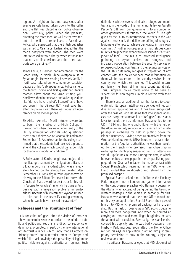region. A neighbour became suspicious after seeing parcels being taken down to the cellar and the flat was placed under police observation. Eventually, police raided the premises, arresting the three men, as well as the two tenants of the flat, a Yemeni and a Palestinian. Police, who suspected that the British publisher was linked to Osama bin Laden, alleged that the men's passports were forged. The men were later released without charge when it transpired that no such links existed and that their passports were genuine. 20

Jamal Karsli, a German parliamentarian for the Green Party in North Rhine-Westphalia, is of Syrian origin. He was visiting his wife's family in north-east Italy, when he came under suspicion because of his Arab appearance. Police came to the family's home and first questioned Karsli's mother-in-law about the 'Arab visiting you'. Karsli was then interviewed and asked questions like 'do you have a pilot's licence?' and 'have you been in the US recently?' Karsli says that, after the police's visit, there was repeated interference on his mobile phone. 21

Six African-American Muslim students were due to begin their studies at al-Hirah College in Birmingham when they were denied entry to the UK by immigration officials who questioned them about their views on Osama Bin Laden and September 11. A spokesman for the college confirmed that the students had received a grant to attend the college which would be responsible for their accommodation and care. 22

A Swiss actor of Kurdish origin was subjected to humiliating treatment by immigration officers at Bilbao airport in an incident which was immediately blamed on the atmosphere created after September 11. Ironically, Duzgun Ayahan was on his way to the Bilbao film festival to receive the Concha de Plata award for best actor for his role in 'Escape to Paradise', in which he plays a Kurd dealing with immigration problems in Switzerland. Because of his treatment, Ayahan refused to take part in the festival's closing ceremony where he would have received the award. <sup>23</sup>

#### **Refugees and the 'straitjacket of fear'**

It is ironic that refugees, often the victims of terrorism,<br>have come to be seen as terrorists in the minds of pub-It is ironic that refugees, often the victims of terrorism, lic and politicians. Yet this is a direct consequence of definitions, prompted, in part, by the new international anti-terrorist alliance, which imply that all attacks on 'friendly states' are a terrorist threat to Europe and which fail to acknowledge the possibility of legitimate political violence against authoritarian regimes. Such

definitions which serve to criminalise refugee communities are, in the words of the human rights lawyer Gareth Peirce 'a gift from our governments to a number of other governments throughout the world'.24 The gift given by the EU to its international partners in the war against terrorism is the deliberate stifling of refugees' legitimate attempts to achieve democracy in their own countries. A further consequence is that refugee communities are placed in what Peirce describes as 'a straitjacket of fear' – the result of increased intelligence gathering on asylum seekers and refugees, and increased cooperation between the security services of refugee-producing countries and the security services of the EU. This puts many refugees in trepidation of any contact with the police for fear that information on them will be passed on to the security services in the country from which they have fled. This would, in turn, put family members, still in these countries, at risk. Thus, European police forces come to be seen as 'agents for foreign regimes, in close contact with their police'.

There is also an additional fear that failure to cooperate with European intelligence agencies will jeopardise asylum applications and it has been suggested, after the case of Reda Hassaine that intelligence agencies are using the vulnerability of refugees' status as a lever to recruit them as informers. Hassaine fled to the UK in 1994 with his wife and children with the help of the Algerian security services which assured him a safe passage in exchange for help in putting down the Islamic insurgency. Having posed as an activist from the Groupe Islamique Armée (GIA), in order to obtain information for the Algerian authorities, he was then recruited by the French who promised him citizenship in exchange for identifying suspected terrorist attacks on World Cup fixtures in France. During this time, in which he even edited a newspaper in the UK publishing propaganda for Osama Bin Laden, he made contact with Special Branch which recruited him in 1998 when the French ended their relationship and refused him the promised passport.

Special Branch asked him to infiltrate the Finsbury Park mosque in north London and gather information on the controversial preacher Abu Hamza, a veteran of the Afghan war, accused of being behind the taking of western hostages in the Yemen. In exchange for this, Hassaine was assured that the Home Office would sort out his asylum application. Special Branch then passed him on to MI5 which promised backing for his citizenship. But his task of posing as a GIA activist became more and more dangerous. And when he baulked at carrying out more and more illegal burglaries, he was threatened with expulsion. Eventually, the Islamists discovered his duplicity and he was badly beaten at the Finsbury Park mosque. Soon after, the Home Office refused his asylum application, granting him just temporary permission to stay in the country, subject to review at any time.

In particular, Hassaine alleges that MI5 blackmailed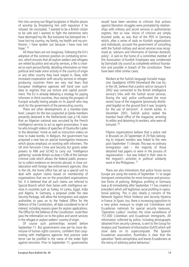him into carrying out illegal burglaries in Muslim places of worship by threatening him with expulsion if he refused. He concluded, 'I wanted to be a British citizen to be safe and I wanted to fight the extremists who have destroyed my life. But everyone has betrayed me. I have lost my country, my family, my health and my profession. I have spoken out because I have now lost hope $'$ <sup>25</sup>

All these fears are not imaginary. Following the EU's adoption of the common position on combating terrorism, which ensures that all asylum seekers and refugees are vetted by police and security services, a file is created on each person/family, detailing information on their political and trade union activity in the country of origin or any other country they have stayed in. Now, with increased cooperation with security services in refugeeproducing countries there are very real fears that European intelligence agencies will hand over such data to regimes that use torture and capital punishment. The EU is already debating a strategy for paying informers in third countries, thus raising the prospect of Europol actually having people on its payroll who may work for the government of the persecuting country.

There are other developments at a member-state level. Lawyers for the two suspected al-Qaida members presently detained in the Netherlands (see p.14) claim that an Algerian national was recruited by the French intelligence services to act as agent provocateur. It was he who brought videos of speeches of Osama Bin Laden to the detainees' home as well as instruction videos on how to make bombs. In Belgium, the government has proposed a new law on special investigation measures which places emphasis on working with informers. The UK Anti-Terrorism Crime and Security Act grants wider powers to MI6 and GCHQ to carry out 'intelligence gathering' outside Britain as does s129b of the German criminal code which allows the federal public prosecutor to collect evidence on terrorists abroad, in close collaboration with foreign law enforcement agencies. Also in the UK, the home office has set up a special unit to deal with asylum claims based on membership of organisations that are on the proscribed organisations list. It is believed that all such claims are referred to Special Branch which then liaises with intelligence services in countries such as Turkey, Sri Lanka, Egypt, India and Algeria. In Germany, a proposal under the new Security Package, will allow the immigration and asylum authorities to pass on to the Federal Office for the Defence of the Constitution, all data considered to be of interest, including reasons given for asylum applications. The Office for the Defence of the Constitution could then pass the information on to the police and secret services in the refugee or asylum seekers' country of origin.

Of course such partnerships existed before September 11. But governments now are far more dismissive of human rights concerns, confident that cooperating with intelligence agencies that practice state terror can be justified in the name of the wider fight against terrorism. Prior to September 11, governments

would have been sensitive to criticism that actions against liberation struggles were prompted by relationships with military and secret services in authoritarian regimes. Not so now. Voices of criticism are simply brushed aside, as was that of the PDS in Germany which, after a series of raids on Kurdish organisations and individuals, accused the government of consulting with the Turkish military and secret services now recognised as 'advisors and informants of German domestic policy'. A raid on the home of a committee member of the Association of Kurdish Employees was condemned by Darnstadt city council as completely without foundation and possible in breach of the constitution. There have been other similar cases.

Workers at the Turkish-language Socialist magazine *Yasadigimiz VATAN* (Homeland We Live In), in the UK, believe that a police raid on January 6 2002 was connected to the British intelligence service's links with the Turkish secret services. During the raid, police confiscated the most recent issue of the magazine (previously distributed legally) on the ground that it was 'property for the use of terrorism'. A month earlier, in December 2001, Turkish police raided the Istanbul head office of the magazine, arresting its editor and detaining its workers, who were all tortured. 26

Filipino organisations believe that a police raid in Brussels on 20 September of 29 flats belonging to migrant workers was linked to the new post-September 11 climate. This was no ordinary immigration raid – the majority of those detained had papers or were in the process of regularisation – but was linked in their view to the migrant's activities in political solidarity work in the Philippines. 27

There are also intimations that police forces across Europe are using the events of September 11 to target immigrant communities for more intrusive and provocative forms of policing. Religious profiling in Germany (see p.4) immediately after September 11 has created a precedent which will legitimise racial profiling in operational policing. This is also clearly a concern of the Network Against Police Violence and Security Hysteria in France. In Spain, too, there is increasing opposition to a new police measure to single out Colombians and Ecuadorian nationals for special security measures. 'Operation Ludeco' involves the close surveillance of 157,000 Colombian and Ecuadorian immigrants. All information collected by police, including photographs obtained from security cameras, is sent to the Group for Analysis and Treatment of Information (GATI) which will store data on its supercomputer. The Spanish Ecuadorian association, Rumiñahu is clear that the operation 'feeds xenophobia and leaves Ecuadorians at the mercy of arbitrary police behaviour'.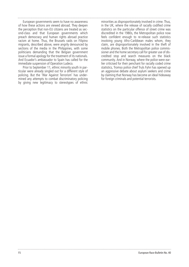European governments seem to have no awareness of how these actions are viewed abroad. They deepen the perception that non-EU citizens are treated as second-class and that European governments which preach democracy and human rights abroad practice racism at home. Thus, the Brussels raids on Filipino migrants, described above, were angrily denounced by sections of the media in the Philippines, with some politicians demanding that the Belgian government issue a formal apology for the treatment of its nationals. And Ecuador's ambassador to Spain has called for the immediate suspension of Operation Ludeco.

Prior to September 11, ethnic minority youth in particular were already singled out for a different style of policing. But the 'War Against Terrorism' has undermined any attempts to combat discriminatory policing by giving new legitimacy to stereotypes of ethnic

minorities as disproportionately involved in crime. Thus, in the UK, where the release of racially codified crime statistics on the particular offence of street crime was discredited in the 1980s, the Metropolitan police now feels confident enough to re-release such statistics involving young Afro-Caribbean males whom, they claim, are disproportionately involved in the theft of mobile phones. Both the Metropolitan police commissioner and the home secretary call for greater use of discredited stop and search measures on the black community. And in Norway, where the police were earlier criticised for their penchant for racially coded crime statistics, Tromso police chief Truls Fyhn has opened up an aggressive debate about asylum seekers and crime by claiming that Norway has become an ideal hideaway for foreign criminals and potential terrorists.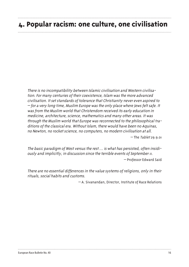### **4. Popular racism: one culture, one civilisation**

There is no incompatibility between Islamic civilisation and Western civilisation. For many centuries of their coexistence, Islam was the more advanced civilisation. It set standards of tolerance that Christianity never even aspired to – for a very long time, Muslim Europe was the only place where Jews felt safe. It was from the Muslim world that Christendom received its early education in medicine, architecture, science, mathematics and many other areas. It was through the Muslim world that Europe was reconnected to the philosophical traditions of the classical era. Without Islam, there would have been no Aquinas, no Newton, no rocket science, no computers, no modern civilisation at all.  $-$  The Tablet 29.9.01

The basic paradigm of West versus the rest … is what has persisted, often insidiously and implicitly, in discussion since the terrible events of September 11.

– Professor Edward Said

There are no essential differences in the value systems of religions, only in their rituals, social habits and customs.

– A. Sivanandan, Director, Institute of Race Relations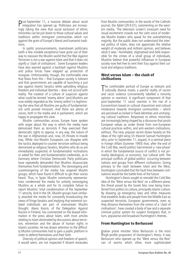Post-September 11, a massive debate about racial integration has opened up. Politicians are increasingly taking the view that social exclusion of ethnic minorities can be put down to those cultural values and traditions within immigrant communities which run against the grain of Europe's liberal and humanist traditions.

In public pronouncements, mainstream politicians (with a few notable exceptions) have gone out of their way to reassure the Muslim world that the War Against Terrorism is not a war against Islam and that it does not signify a 'clash of civilisations'. Some European leaders have also warned against a backlash against Muslims and police forces have stepped up protection of mosques. Unfortunately, though, the comfortable view that flows from this – that European society is tolerant and that governments are capable of launching a just war against Islamic fanatics while upholding religious freedom and individual liberties – does not accord with reality. The creation of a culture of suspicion against what could be termed 'enemy aliens' (and Muslims are now widely regarded as the 'enemy within') is legitimising the view that all Muslims are guilty of fundamentalism until proved innocent. And there are plenty of voices, both in the media and in parliament, which are happy to propagate this view.

Muslim communities across Europe have spoken with anger about the way in which the media have demonised them as terrorists if they exercised their democratic rights to oppose, in any way, the nature of the war in Afghanistan and, now, US threats to invade Iraq. While non-Muslim Europeans can disagree with the tactics deployed to counter terrorism without being demonised as religious fanatics, Muslims who do so are immediately suspected of fundamentalist inclinations or asked for their anti-fundamentalist credentials, as in Germany where Christian Democratic Party politicians have repeatedly demanded that Muslims disassociate themselves from fundamentalism. The stereotyping and scaremongering of the media has angered Muslim groups, which have found it difficult to get their voices heard. Thus, in Spain Muslim community representatives condemned the media for unfairly stereotyping Muslims as a whole and for its complete failure to report Muslims' total condemnation of the September 11 atrocity. And in the UK, Muslim groups have similarly attacked the media for constantly broadcasting the views of fringe fanatics and implying that extremist isolated individuals are part of mainstream Muslim thought. Alexis Kooris, of the Delegation Against Racism in Finland, has commented on the biased information in the press about Islam, with most articles relating to Islam dominated by discussions about terrorism, extremism and the abuse of human rights in Islamic societies. He has drawn attention to the difficulty Muslim communities had to gain a public platform in order to defend themselves and their faith.

Diversity of political opinion and freedom of speech, it would seem, are not respected if dissent emanates

from Muslim communities. In the words of the Catholic journal, the *Tablet* (29.9.01), commenting on the western media, 'The television screen's incessant need for visual excitement crowds out the calm voice of moderate Muslim leaders who speak for the overwhelming majority. But the public does not understand the internal politics of Islam, does not appreciate the relative weight of moderate and militant opinion, and believes what it sees.' Humiliated, stigmatised and held responsible for the crimes of a small group of individuals, Muslims believe that powerful influences in European society now feel free to vent their fury against their cultural and religious traditions.

#### **West versus Islam – the clash of civilisations**

The comfortable portrait of Europe as tolerant and<br>culturally diverse masks a painful reality of racism culturally diverse masks a painful reality of racism and racist violence (conveniently labelled a minority opinion or reaction). A significant component of that post-September 11 racist reaction is the rise of a Eurocentrism based on cultural chauvinism and cultural intolerance towards immigrant communities – which are perceived as locked in fixed identities and unchanging cultural traditions. Responses to ethnic minorities are increasingly being shaped by a discourse that posits European values as under threat from non-European cultural practices within, and anti-western civilisations, without. This new, popular racism draws heavily on the ideas of the right-wing US theorist Samuel Huntington who, prior to September 11, argued, in a seminal piece in *Foreign Affairs* (Summer 1993) that, after the end of the Cold War, world politics had entered a 'new phase' in which the fundamental source of conflict is not primarily ideological, or economic, but cultural with 'the principal conflicts of global politics' occurring between nations and groups from different civilisations. Giving primacy to the clash between Islam and the West, Huntington concluded that the fault lines between civilisations would be the battle lines of the future.

Huntington's thesis sought to remodel the Cold War idea of the 'West versus the Rest' on a different plane; the threat posed by the Soviet bloc now being transferred from politics to culture, principally Islamic culture. By drawing up emergency laws and other measures that establish Arabs and people from the Middle East as suspected terrorists, European governments, even as they distance themselves from the notion of a 'clash of civilisations', have created a body of law and a separate criminal justice system for suspect foreigners that, in turn, popularise and broadcast Huntington's themes.

#### **From Huntington to Berlusconi**

Italian prime minister Silvio Berlusconi is the most<br>high-profile proponent of Huntington's thesis. It was talian prime minister Silvio Berlusconi is the most Berlusconi who opened up the 'West versus the Rest' can of worms which other, more sophisticated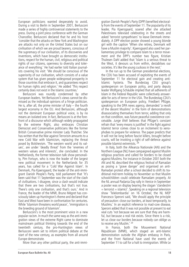European politicians wanted desperately to avoid. During a visit to Berlin in September 2001, Berlusconi made a series of highly controversial statements to the press. During a joint press conference with the German Chancellor, Berlusconi declared that he and his host 'consider that the attacks on New York and Washington are attacks not only on the United States but on our civilisation of which we are proud bearers, conscious of the supremacy of our civilisation, of its discoveries and inventions, which have brought us democratic institutions, respect for the human, civil, religious and political rights of our citizens, openness to diversity and tolerance of everything.' He had earlier told Italian journalists covering his visit: 'We should be conscious of the superiority of our civilisation, which consists of a value system that has given people widespread prosperity in those countries that embrace it, and guarantees respect for human rights and religion.' He added 'This respect certainly does not exist in the Islamic countries.'

Berlusconi was roundly condemned by other European leaders. Yet Berlusconi's views cannot be dismissed as the individual opinions of a fringe politician. He is, after all, the prime minister of Italy – the fourth largest economy in the EU. And Berlusconi, although not the dominant European political voice, is by no means an isolated one. In fact, Berlusconi is at the forefront of a discourse which although widely propagated by the extreme Right, also embraces Christian Democrat and Conservative politicians like the former British Conservative prime minister Lady Thatcher. She has written that the War against Terrorism amounts to a new Cold War with Islamicism, replacing the threat posed by Bolshevism. 'The western world and its values', are under 'deadly threat' from the 'enemies of western values and interests', she concluded. In the Netherlands, the former television talk show personality, Pim Fortuyn, who is now the leader of the largest new political movement in the Netherlands for 35 years, has called for a 'Cold War Against Islam'. In Denmark, Pia Kjaersgaard, the leader of the anti-immigrant Danish People's Party, told parliament that 'It's been said that 11 September was the start of the clash of civilisations. I disagree, since a clash would indicate that there are two civilisations, but that's not true. There's only one civilisation, and that's ours.' And in France, the leader of the MNR, Bruno Mégret has consciously taken up Huntington's theme and declared that East and West have been in confrontation for centuries. While 'Islamism threatens world peace', 'immigration is the breeding ground of Islamism'.

Berlusconi's is the most prominent voice in a new popular racism. In much the same way as the anti-immigration views of the extreme Right came to dominate mainstream political thinking towards the end of the twentieth century, the pro-Huntington views of Berlusconi seem set to inform political debate at the start of the new century, as examples from all around Europe demonstrate.

More than any other political party, the anti-immi-

gration Danish People's Party (DPP) benefited electorally from the events of September 11. The popularity of its leader, Pia Kjaersgaard, soared after she attacked Palestinians televised celebrating in the streets and asked 'terrorist sympathisers' to leave Denmark immediately. A DPP election poster showed a young blonde girl with the caption 'When she retires, Denmark will have a Muslim majority'. Kjaersgaard also used her parliamentary privilege to compare Islam to a terror movement and the DPP's number two figure, Kristian Thulesen Dahl added that 'Islam is a serious threat to the West, it devours us from within, destablises our societies. It's like the young cuckoos in the nest.'

In the run up to the German presidential elections, the CDU has been accused of exploiting the events of September 11 for electoral gain and creating anti-Islamic hysteria. The Bundestag CDU group's spokesperson on European policy, and party deputy leader Wolfgang Schäuble implied that all adherents of Islam in the Federal Republic were collectively answerable for acts of terror in the USA. The Bundestag CDU's spokesperson on European policy, Friedbert Pflüger, speaking to the DPA news agency, demanded 'a revolt of the decent Muslims' in the form of demonstrations disassociating themselves from terror, adding that only on that condition, was future peaceful coexistence conceivable. *Junge Welt* believes that Pflüger's constant refrain that 'every means is justified' in the fight against Islamist terror comes close to an incitement to xenophobes to prepare for violence. The paper predicts that it will not be long before fascist killers, brought before courts, will be invoking a right of self-defence against possible Islamist extremists. 28

In Italy, both the Alleanza Nationale (AN) and the Northern League (NL) have campaigned against Muslim religious practices and called for borders to be closed against Muslims. For instance in October 2001 both the AN and NL described the religious festival of Ramadan as posing a 'grave danger' and organised an anti-Ramadan protest after a school decided to shift its traditional mid-term holiday to November so that Muslim schoolchildren could celebrate Ramadam properly. At the NL annual Padania Day rally in Venice in September a poster was on display bearing the slogan 'clandestini  $=$  terrorist  $=$  islamici'. Speaking on a regional television show 'Telelombardia' on 16 October, the NL MEP Francesco Speroni said, 'We should apply the principle of precaution: close our borders, at least temporarily, to Muslims.' In an explicit reference to mad-cow disease, Speroni added that it was not possible at present to eat veal cuts 'not because we are sure that they are harmful, but because a real risk exists. Since there is a risk, let us close our borders because nobody can oblige us to receive any Muslim.' 29

In France, both the Mouvement National Républicain (MNR), which staged an anti-Islamic demonstration outside the Afghan embassy in Paris, and the Front National have used the events of September 11 to call for a halt to immigration. While Le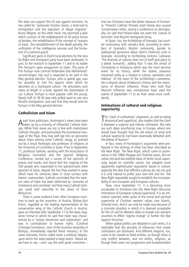Pen does not support the US war against terrorism, he has called for 'systematic frontier checks, a total halt to immigration and the expulsion of illegal migrants'. Bruno Mégret, on the other hand, has launched a plan which consists of the redeployment of all police forces at borders, the rehabilitation of the concept of 'reasons of state', the reestablishment of the death penalty, the unification of the intelligence services and the formation of a national guard.

Significant gains in Dutch local elections for the new far-Right anti-immigrant party have been attributed, in part, to the reaction to September 11 and to its leader Pim Fortuyn's open antagonism to Islam. The party of Pim Fortuyn now controls Rotterdam (the Netherlands' second-largest city) and is expected to do well in the May general election. Fortuyn, who is openly gay, uses his sexuality to fuel fire against Islam which he describes as a 'backward culture'. He articulates such views at length in a book Against the Islamisation of our Culture. Fortuyn is most popular with the young. Nearly half of 18-30 year-olds polled want to see zero Muslim immigration, and said that they would vote for Fortuyn in the May general election.

#### **Catholicism and Islam**

A part from politicians, Huntington's views have been<br>taken up by a minority of influential Catholic bishops. While their views are not in line with mainstream Catholic thought, and particularly the ecumenical message of the Pope, they may well tap into an ignorance about Islam among some Catholic clergy, as pointed out by a Jesuit theologist and professor of religions at the University of Commilas in Spain. Prior to September 11, professor Galindo, working with the Association of Religious Journalists and the Spanish Religious Conference, carried out a survey of the opinions of priests and monks and found that the majority of the 500 people who responded to the questionnaire were ignorant of Islam, despite the fact they worked in areas which have for centuries been in close contact with Islamic communities. Galindo concluded that the western view of Islam has been deformed by 'centuries of intolerance and contempt' and that many Catholic bishops could well subscribe to the views of Silvio Berlusconi.

There is some evidence from other European countries to back up this assertion. In Austria, Bishop Kurt Krenn, regarded as the leading representative of the conservative wing of the Catholic church in Austria, gave an interview after September 11 to the news magazine *Format* in which he said that Islam was characterised by a 'certain fanaticism and nationalism' and was in contradiction to human rights. (Cardinal Christoph Schönborn, chair of the Austrian Assembly of Bishops, immediately rejected these remarks.) In the same interview, Krenn called Islam a political religion, upon which the state needed to keep watch. 'Above all, we have to say  $-$  and I say this with great conviction  $-$ 

that we Christians have the better measure of humanity.' Poland's Catholic Primate Jozef Glemp also caused consternation when, during a conference on demography, he said that Poland does not want the 'culture of terrorism' that Muslim immigrants bring.

In Spain, too, the Archbishop of Grenada, has courted controversy with remarks that, according to members of Granada's Muslim community, pander to widespread ignorance about Islam's historical roots in Granada. According to Archbishop Antonio Cañizares 'The diversity of cultures does not of itself give place to a better humanity', adding that 'it was the arrival of Christianity in Andalucia which was the most decisive event for its history, while the Islamic presence remained solely as a residue in culture, aesthetics and folklore.' At the heart of the Archbishop's comments, lies a dispute about Andalucia's history and the importance of Moorish influence. Those who hold that Moorish influence was unimportant have used the events of September 11 to air their views more confidently.

#### **Intimations of cultural and religious superiority**

The 'clash of civilisations' argument, as well as being<br>a a distorical and superficial, also implies that the clash ahistorical and superficial, also implies that the clash is between a superior and inferior civilisation. But why are such ideas resurfacing now, in Europe, where one would have thought that the old notion of racial and cultural superiority had been essentially defeated with the defeat of Nazism?

In fact, many of Huntington's arguments were prefigured in the writings of what has been described as the New Right. The New Right, which came to prominence in the 1980s Reagan and Thatcher years, did not utilise old (and discredited) ideas of white racial superiority, based on scientific racism, but adopted more apparently sophisticated arguments based in culture; explicitly the idea that different cultures do not mix and it is only natural to prefer your own kith and kin. The New Right repeatedly sought to establish the incompatibility of non-European and European cultures.

Now, since September 11, it is becoming more acceptable to introduce into this New Right discourse intimations of European cultural superiority. It is an intimation injected under guise of the moral and spiritual superiority of Christian western values over Islamic, Oriental ones. And it can only be made now because of a concrete situation in which it is deemed acceptable for the US and its Western allies to invade non-western countries to effect 'regime change' or further the War Against Terrorism.

When global politics are debated in such terms, it is inevitable that the plurality of influences that create civilisations are dismissed. And different religions, too, come to be viewed as fixed entities, as though there is only conflict between, and not within, religions; as though there were not progressive and fundamentalist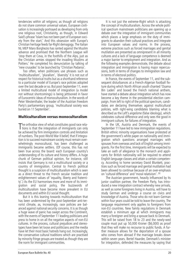tendencies within all religions; as though all religions do not share common universal values. European civilisation is increasingly portrayed as developing from only one religious root, Christianity, as though, in Edward Said's phrase 'Islam has not been part of European society from the start.' And this obsession with Europe's Christian heritage feeds far-Right demagogy. The Italian NL MEP Maro Borghezio has ranted against the Muslim advance and promised that the Northern League will 'stop them at Ceva, in the foothills of the Alps, just as the Christian armies stopped the invading Muslims at Poitiers.' He completed his denunciation by talking of 'new crusades' to be launched by 'Christian Padania'.

Too often, when politicians use phrases such as 'multiculturalism', 'pluralism', 'diversity' it is not out of respect for historical truths but as a shorthand reference to a particular model of Europe's race policies adopted over the last decade or so. But post-September 11, even a limited multicultural model of integration (a model not without shortcomings) is being jettisoned in favor of Eurocentric ideas of monoculturalism. In the words of Peter Westenthaler, the leader of the Austrian Freedom Party's parliamentary group, 'multicultural society was buried on 11 September'.

#### **Multiculturalism versus monoculturalism**

The orthodox view of what constitutes good race relations is that the integration of immigrants can only he orthodox view of what constitutes good race relabe achieved by firm immigration controls and limitation of numbers. The post-World War II belief, that if integration is to succeed mainstream society must remain overwhelmingly monocultural, has been challenged as immigrants became settlers. (Of course, this has not been true across the board: each European country's understanding of its culture and history differs. A huge chunk of German political opinion, for instance, still insists that Germany is not a multicultural society or a country of immigration. Central to French political thought is a suspicion of multiculturalism which is seen as a direct threat to the French secular tradition and enlightenment values of 'equality, liberty and fraternity'.) As the EU harmonises more and more of its immigration and social policy, the buzzwords of multiculturalism have become more prevalent in EU documents and within EU social thought.

But it is this leaning towards multiculturalism that has been undermined by the post-September anti-terrorist climate, as, increasingly, race policies are balanced against national security concerns. It is as though a huge wave of panic has swept across the Continent, with the events of September 11 leading politicians and press to home in on all the negative aspects of non-EU cultures. In the process, cultural prejudices and stereotypes have been let loose and politicians and the media have let their most basic hatreds hang out. Increasingly, the conservative cultural traditions which are practised by minority fringe groups are treated as though they are the norm for immigrant communities.

It is not just the extreme-Right which is attacking the concept of multiculturalism. Across the whole political spectrum mainstream politicians are opening up a debate over the integration of immigrant communities which places a large emphasis on the duty of immigrants to abandon their cultural practices and integrate into European values and norms. In the process, extreme practices such as forced marriages and genital mutilation are presented as omnipresent in all minority cultures and a lack of language competence is deemed a major barrier to employment and integration. And as the following examples demonstrate, the debate about integration and immigration is having major repercussions, both in terms of changes to immigration law and in terms of electoral politics.

In France, the events of September 11, and the subsequent disturbances at a French-Algerian football fixture during which North African youth chanted 'Osama Bin Laden' and booed the French national anthem, have started a debate about integration which has now become a key theme in the presidential election campaign. From left to right of the political spectrum, candidates are declaring themselves against multicultural policies, with right-wing candidates blaming what is described as the Left's *angelisme* (false ideology), which celebrates cultural difference and only sees the good in immigrant culture, for failures of integration.

In the UK, Austria and Denmark, the events of September 11 have led to new immigration regulations. British ethnic minority organisations have protested at the government's white paper on nationality and immigration which questions arranged marriages with spouses from overseas and lack of English among immigrants. For the first time, immigrants will be expected to take an oath of allegiance to the monarch and applicants for British nationality will be required to attend English language classes and attain a certain competency. According to home secretary David Blunkett, practices such as forced marriage and genital mutilation had been allowed to continue because of an over-emphasis on 'cultural difference' and 'moral relativism'. 30

The Austrian government, heavily influenced by its junior coalition partner, the Freedom Party, has introduced a new integration contract whereby new arrivals, as well as some foreigners living in Austria, will have to study German and undergo a course on civics and knowledge of Austria. Those who do not learn German within four years could be told to leave the country. The language requirement only applies to foreigners from non-EU countries. New family regulations in Denmark establish a minimum age at which immigrants may marry a foreigner and bring a spouse back to Denmark. This will be raised from 18 to 23 and the newly-wed couple must put up 50,000 Kroner (\$6,000) as proof that they will make no recourse to public funds. A further measure allows for the deportation of a spouse who comes from abroad if the marriage breaks down within seven years. Bertel Haarder, Denmark's minister for integration, defended the measures by saying that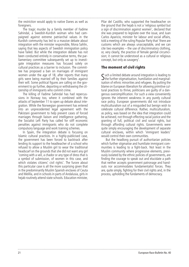the restriction would apply to native Danes as well as foreigners.

The tragic murder by a family member of Fadime Sahindal, a Swedish-Kurdish woman who had campaigned against extreme patriarchal values in the Kurdish community has led to a massive debate about integration with the minister responsible, Mona Sahlin, saying that key aspects of Swedish immigration policy have failed. But while the integration debate has not been conducted entirely in conservative terms, the parliamentary committee subsequently set up to investigate integration measures has focused solely on cultural practices as a barrier to inclusion. The committee has proposed a ban on marriages of immigrant women under the age of 18, after reports that many girls were being married off by their families against their will. Some political figures are calling on the government to go further, deporting or withdrawing the citizenship of immigrants who commit crime.

The killing of Fadime Sahindal has had repercussions in Norway too, where it combined with the attacks of September 11 to open up debate about integration. While the Norwegian government has entered into an unprecedented legal agreement with the Pakistani government to help prevent cases of forced marriages through liaison and intelligence gathering, the Socialist Left Party has called for stiff economic penalties against immigrants who do not complete compulsory language and work training schemes.

In Spain, the integration debate is focusing on Islamic cultural practices. In a highly-publicised case, the government has been forced to backtrack after lending its support to the headteacher of a school who refused to allow a Muslim girl to wear the traditional headscarf on the grounds that she did not want any girl 'coming with a veil, a chador or any type of dress that is a symbol of submission, of women in this case, and which violates citizens' civil rights'. The furore about this particular case is all the more surprising given that in the predominantly Muslim Spanish enclaves of Ceuta and Melilla, and in schools in parts of Andalusia, girls in hejab routinely attend state schools. Education minister,

Pilar del Castillo, who supported the headteacher on the ground that the hejab is not a 'religious symbol but a sign of discrimination against women', declared that she was prepared to legislate over the issue, and Juan Carlos Aparicio, minister for labour and social affairs, told a meeting of the ruling Popular Party that 'there are customs which are always unacceptable, and we can cite two examples – the use of discriminatory clothing, or, very clearly, the practice of female genital circumcision; it cannot be understood as a cultural or religious concept, but only as savagery'.

#### **The moment of civil rights**

Such a limited debate around integration is leading to<br>
Sthe further stigmatisation, humiliation and marginal- $\Delta$ the further stigmatisation, humiliation and marginalisation of ethnic minorities and refugees. By putting the blame on European liberalism for allowing primitive cultural practices to thrive, politicians are guilty of a dangerous oversimplification. For such a view conveniently ignores the inherent weakness in any purely cultural race policy. European governments did not introduce multiculturalism out of a misguided but benign wish to celebrate cultural difference. Rather, multiculturalism, as policy, was based on the idea that integration could be achieved, not through effecting racial justice and the granting of full, political civil and social rights, but through affording cultural rights. Governments were quite simply encouraging the development of separate cultural enclaves, within which 'immigrant leaders' would control their own communities.

But the headlong pursuit of authoritarian policies which further stigmatise and humiliate immigrant communities is leading to a fight-back. Not least in the Muslim community where progressive elements, previously isolated by the ethnic policies of governments, are finding the courage to speak out and elucidate a path that neither accepts government patronage and handouts nor accommodates fundamentalist forces. They are, quite simply, fighting for their civil rights and, in the process, upholding the fundaments of democracy.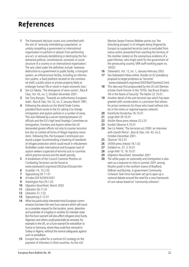### **References**

- **1** The framework decision covers acts committed with the aim of 'seriously intimidating a population, or unduly compelling a government or international organisation to perform or abstain from performing any act, or seriously destablising or destroying the fundamental political, constitutional, economic or social structure of a country or an international organisation.' The acts cited under the definition include 'extensive destruction to a government or public facility, a transport system, an infrastructure facility, including an information system, a fixed platform located on the continental shelf, a public place or private property likely to endanger human life or result in major economic loss.'
- **2** See Liz Fekete, 'The emergence of xeno-racism', *Race & Class*, Vol. 43, no. 2, October-December 2001.
- **3** See Tony Bunyan, 'Towards an authoritarian European state', *Race & Class*, Vol. 32, no. 3, January-March 1991.
- **4** Following the attacks on the World Trade Centre, president Bush wrote to the EU asking it to change immigration and asylum policies in a number of areas. This was followed by a secret meeting between US officials and the EU's high-level Strategic Committee on Immigration, Frontiers and Asylum where the US demanded greater efforts not only to counter terrorism but also to combat all forms of illegal migratory movement. Following this, the European Commission produced a paper recommending a lowering of standards of refugee protection which could result in refoulement (forbidden under international and European law) of asylum seekers suspected of terrorist acts to countries which practice torture and the death penalty.
- **5** A breakdown of the Council Common Position on Combating Terrorism can be found at www.statewatch.org/news/2002/jan/02euter.htm
- **6** *Guardian* 14, 15.2.02
- **7** *Tageszeitung* 26.11.01
- **8** *AI Index EUR* 42/003/2001
- **9** *Washington Post* 29.1.02
- **10** *Migration NewsSheet*, March 2002
- **11** *Libération* 26.11.01
- **12** *Libération* 21.1.02
- **13** *Tageszeitung* 5.12.01
- **14** What has particularly interested most European commentators has been the new Euro-warrant which will count as a complete request for the location, arrest, detention and surrender of a fugitive in another EU member state. But the Euro-warrant will also affect refugees since Kurds, Algerians and others could potentially be arrested, for example in the UK, on a Euro-warrant for extradition to France or Germany, where they could face removal to Turkey or Algeria, without the normal safeguards against such re-extradition.
- **15** Europol has called for a common EU strategy on the payment of informers in third countries. As the civil

liberties lawyer Frances Webber points out 'the disturbing prospect is of refugees being fingered by Europol as suspected terrorists (and so excluded from status and/or prevented from reaching the territory of the member states) on the anonymous evidence of a paid informer, who might work for the government of the persecuting country.'(IRR staff working paper no. 16/02)

- **16** *Statewatch*, Vol. 12, no. 1, January-February 2002
- **17** See Statewatch News online: Doubts on EU presidency proposal to target protestors as 'terrorists' (www.statewatch.org/news/2002/feb/07protest2.htm)
- **18** This idea was first propounded by the US civil liberties scholar Frank Donner in the 1970s. See Bruce Shapiro 'All in the Name of Security' *The Nation* 22.10.01.
- **19** Another detail of the anti-terrorist law which has been greeted with consternation is a provision that allows for prison sentences for those who travel without tickets in the metro or regional express network.
- **20** *Frankfurter Rundschau* 16.10.01
- **21** *Junge Welt* 29.10.01
- **22** *Muslim News* press release 25.2.01
- **23** *Kurdish Observer* 4.10.01
- **24** See Liz Fekete, 'The terrorism act 2000: an interview with Gareth Peirce', *Race & Class*, Vol. 43, no.2, October-December 2001.
- **25** *Observer* 18.2.01
- **26** *VATAN* press release 18.1.02
- **27** *Solidaire* no. 37, 3.10.01
- **28** *Junge Welt* 15, 16.10.01
- **29** *Migration NewsSheet*, November 2001
- **30** The white paper on nationality and immigration is also seen as a response to riots in summer 2001 among Muslim youth in the northern towns of Bradford, Oldham and Burnley. A government Community Cohesion Task Force has been set up to open up a national debate around the need for a new framework of core values based on 'community cohesion'.